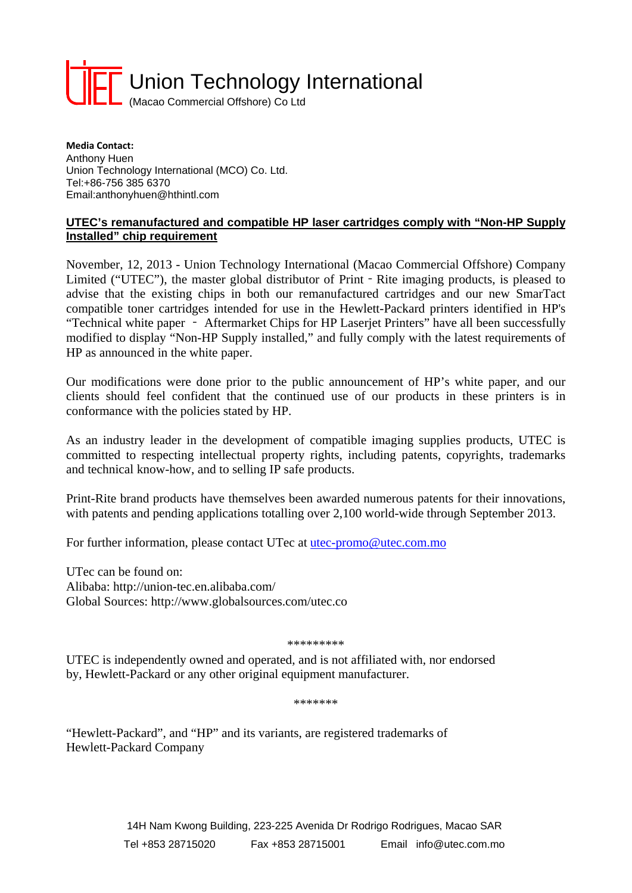

**Media Contact:** Anthony Huen Union Technology International (MCO) Co. Ltd. Tel:+86-756 385 6370 Email:anthonyhuen@hthintl.com

## **UTEC's remanufactured and compatible HP laser cartridges comply with "Non-HP Supply Installed" chip requirement**

November, 12, 2013 - Union Technology International (Macao Commercial Offshore) Company Limited ("UTEC"), the master global distributor of Print - Rite imaging products, is pleased to advise that the existing chips in both our remanufactured cartridges and our new SmarTact compatible toner cartridges intended for use in the Hewlett-Packard printers identified in HP's "Technical white paper - Aftermarket Chips for HP Laserjet Printers" have all been successfully modified to display "Non-HP Supply installed," and fully comply with the latest requirements of HP as announced in the white paper.

Our modifications were done prior to the public announcement of HP's white paper, and our clients should feel confident that the continued use of our products in these printers is in conformance with the policies stated by HP.

As an industry leader in the development of compatible imaging supplies products, UTEC is committed to respecting intellectual property rights, including patents, copyrights, trademarks and technical know-how, and to selling IP safe products.

Print-Rite brand products have themselves been awarded numerous patents for their innovations, with patents and pending applications totalling over 2,100 world-wide through September 2013.

For further information, please contact UTec at utec-promo@utec.com.mo

UTec can be found on: Alibaba: http://union-tec.en.alibaba.com/ Global Sources: http://www.globalsources.com/utec.co

## \*\*\*\*\*\*\*\*\*

UTEC is independently owned and operated, and is not affiliated with, nor endorsed by, Hewlett-Packard or any other original equipment manufacturer.

\*\*\*\*\*\*\*

"Hewlett-Packard", and "HP" and its variants, are registered trademarks of Hewlett-Packard Company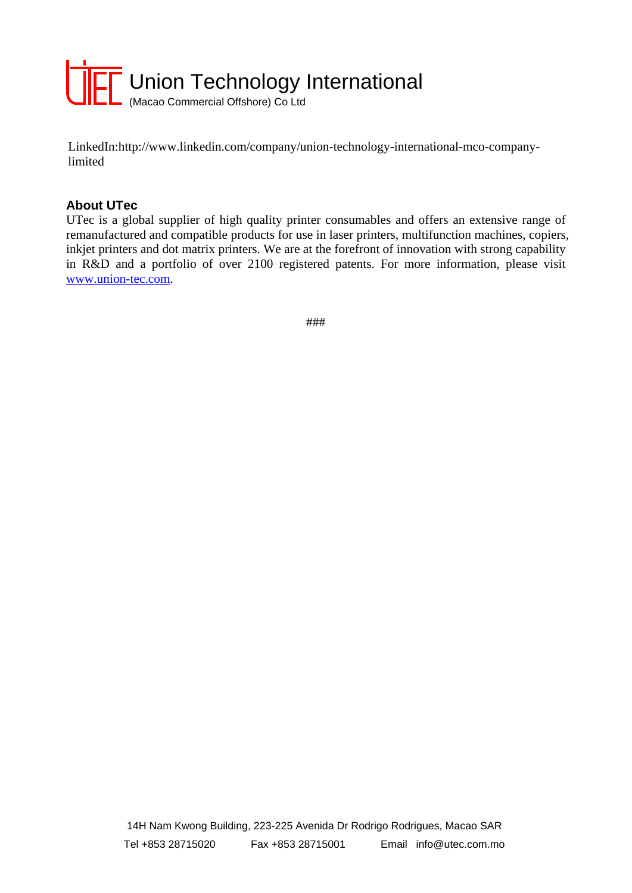

LinkedIn:http://www.linkedin.com/company/union-technology-international-mco-companylimited

## **About UTec**

UTec is a global supplier of high quality printer consumables and offers an extensive range of remanufactured and compatible products for use in laser printers, multifunction machines, copiers, inkjet printers and dot matrix printers. We are at the forefront of innovation with strong capability in R&D and a portfolio of over 2100 registered patents. For more information, please visit www.union-tec.com.

###